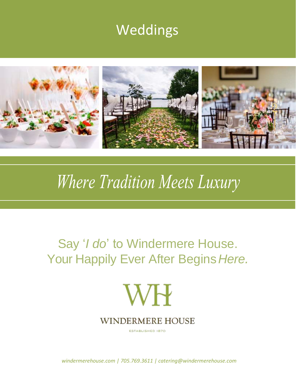## Weddings



# Where Tradition Meets Luxury

## Say '*I do*' to Windermere House. Your Happily Ever After Begins*Here.*



ESTABLISHED 1870

*windermerehouse.com | 705.769.3611 | catering@windermerehouse.com*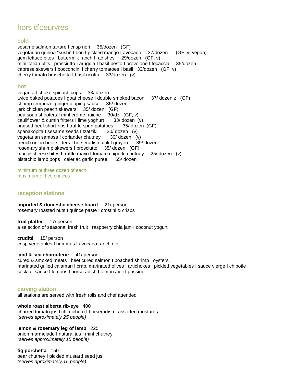### hors d'oeurvres

#### **cold**

sesame salmon tartare I crisp nori 35/dozen (GF) vegetarian quinoa "sushi" I nori I pickled mango I avocado 37/dozen (GF, v, vegan) gem lettuce bites I buttermilk ranch I radishes 29/dozen (GF, v) mini italian blt's I prosciutto I arugula I basil pesto I provolone I focaccia 35/dozen caprese skewers I bocconcini I cherry tomatoes I basil 33/dozen (GF, v) cherry tomato bruschetta I basil ricotta 33/dozen (v)

#### **hot**

vegan artichoke spinach cups 33/ dozen twice baked potatoes I goat cheese I double smoked bacon 37/ dozen z (GF) shrimp tempura I ginger dipping sauce 35/ dozen jerk chicken peach skewers 35/ dozen (GF) pea soup shooters I mint crème fraiche 30/dz (GF, v) cauliflower & cumin fritters I lime yoghurt 33/ dozen (v) braised beef short-ribs I truffle spun potatoes 35/ dozen (GF) spanakopita I sesame seeds I tzatziki 30/ dozen (v) vegetarian samosa I coriander chutney 30/ dozen (v) french onion beef sliders I horseradish aioli I gruyere 39/ dozen rosemary shrimp skewers I prosciutto 35/ dozen (GF) mac & cheese bites I truffle mayo I tomato chipotle chutney 25/ dozen (v) pistachio lamb pops I celeriac garlic puree 65/ dozen

minimum of three dozen of each. maximum of five choices.

#### **reception stations**

**imported & domestic cheese board** 21/ person rosemary roasted nuts I quince paste I crostini & crisps

**fruit platter** 17/ person a selection of seasonal fresh fruit I raspberry chia jam I coconut yogurt

**crudité** 15/ person crisp vegetables I hummus I avocado ranch dip

**land & sea charcuterie** 41/ person cured & smoked meats I beet cured salmon I poached shrimp I oysters, marinated grilled calamari I crab, marinated olives I artichokes I pickled vegetables I sauce vierge I chipotle cocktail sauce I lemons I horseradish I lemon aioli I grissini

#### **carving station**

all stations are served with fresh rolls and chef attended

**whole roast alberta rib-eye** 400 charred tomato jus I chimichurri I horseradish I assorted mustards *(serves aproximately 25 people)*

**lemon & rosemary leg of lamb** 225 onion marmelade I natural jus I mint chutney *(serves approximately 15 people)*

**fig porchetta** 150 pear chutney I pickled mustard seed jus *(serves aproximately 15 people)*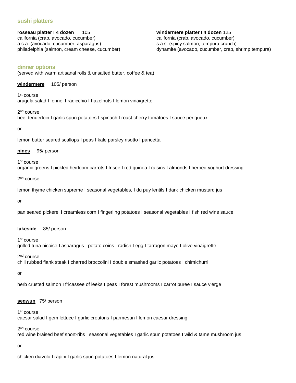#### **sushi platters**

**rosseau platter I 4 dozen** 105 california (crab, avocado, cucumber) a.c.a. (avocado, cucumber, asparagus) philadelphia (salmon, cream cheese, cucumber) **windermere platter I 4 dozen** 125 california (crab, avocado, cucumber) s.a.s. (spicy salmon, tempura crunch) dynamite (avocado, cucumber, crab, shrimp tempura)

#### **dinner options**

(served with warm artisanal rolls & unsalted butter, coffee & tea)

**windermere** 105/ person

1 st course arugula salad I fennel I radicchio I hazelnuts I lemon vinaigrette

2<sup>nd</sup> course beef tenderloin I garlic spun potatoes I spinach I roast cherry tomatoes I sauce perigueux

or

lemon butter seared scallops I peas I kale parsley risotto I pancetta

**pines** 95/ person

1st course organic greens I pickled heirloom carrots I frisee I red quinoa I raisins I almonds I herbed yoghurt dressing

2<sup>nd</sup> course

lemon thyme chicken supreme I seasonal vegetables, I du puy lentils I dark chicken mustard jus

or

pan seared pickerel I creamless corn I fingerling potatoes I seasonal vegetables I fish red wine sauce

#### **lakeside** 85/ person

1<sup>st</sup> course grilled tuna nicoise I asparagus I potato coins I radish I egg I tarragon mayo I olive vinaigrette

2<sup>nd</sup> course chili rubbed flank steak I charred broccolini I double smashed garlic potatoes I chimichurri

or

herb crusted salmon I fricassee of leeks I peas I forest mushrooms I carrot puree I sauce vierge

#### **segwun** 75/ person

1<sup>st</sup> course caesar salad I gem lettuce I garlic croutons I parmesan I lemon caesar dressing

2<sup>nd</sup> course

red wine braised beef short-ribs I seasonal vegetables I garlic spun potatoes I wild & tame mushroom jus

or

chicken diavolo I rapini I garlic spun potatoes I lemon natural jus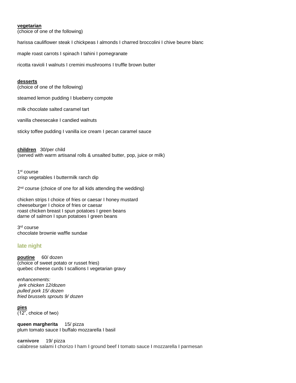#### **vegetarian**

(choice of one of the following)

harissa cauliflower steak I chickpeas I almonds I charred broccolini I chive beurre blanc

maple roast carrots I spinach I tahini I pomegranate

ricotta ravioli I walnuts I cremini mushrooms I truffle brown butter

#### **desserts**

(choice of one of the following)

steamed lemon pudding I blueberry compote

milk chocolate salted caramel tart

vanilla cheesecake I candied walnuts

sticky toffee pudding I vanilla ice cream I pecan caramel sauce

**children** 30/per child (served with warm artisanal rolls & unsalted butter, pop, juice or milk)

1 st course crisp vegetables I buttermilk ranch dip

2<sup>nd</sup> course (choice of one for all kids attending the wedding)

chicken strips I choice of fries or caesar I honey mustard cheeseburger I choice of fries or caesar roast chicken breast I spun potatoes I green beans darne of salmon I spun potatoes I green beans

3 rd course chocolate brownie waffle sundae

#### **late night**

**poutine** 60/ dozen (choice of sweet potato or russet fries) quebec cheese curds I scallions I vegetarian gravy

*enhancements: jerk chicken 12/dozen pulled pork 15/ dozen fried brussels sprouts 9/ dozen*

**pies**  (12", choice of two)

**queen margherita** 15/ pizza plum tomato sauce I buffalo mozzarella I basil

**carnivore** 19/ pizza calabrese salami I chorizo I ham I ground beef I tomato sauce I mozzarella I parmesan